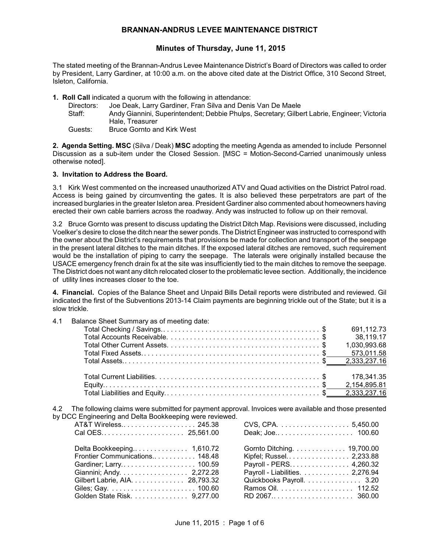# **BRANNAN-ANDRUS LEVEE MAINTENANCE DISTRICT**

# **Minutes of Thursday, June 11, 2015**

The stated meeting of the Brannan-Andrus Levee Maintenance District's Board of Directors was called to order by President, Larry Gardiner, at 10:00 a.m. on the above cited date at the District Office, 310 Second Street, Isleton, California.

**1. Roll Call** indicated a quorum with the following in attendance:

| Directors: | Joe Deak, Larry Gardiner, Fran Silva and Denis Van De Maele                                 |
|------------|---------------------------------------------------------------------------------------------|
| Staff:     | Andy Giannini, Superintendent; Debbie Phulps, Secretary; Gilbert Labrie, Engineer; Victoria |
|            | Hale, Treasurer                                                                             |
| Guests:    | <b>Bruce Gornto and Kirk West</b>                                                           |

**2. Agenda Setting. MSC** (Silva / Deak) **MSC** adopting the meeting Agenda as amended to include Personnel Discussion as a sub-item under the Closed Session. [MSC = Motion-Second-Carried unanimously unless otherwise noted].

## **3. Invitation to Address the Board.**

3.1 Kirk West commented on the increased unauthorized ATV and Quad activities on the District Patrol road. Access is being gained by circumventing the gates. It is also believed these perpetrators are part of the increased burglaries in the greater Isleton area. President Gardiner also commented about homeowners having erected their own cable barriers across the roadway. Andy was instructed to follow up on their removal.

3.2 Bruce Gornto was present to discuss updating the District Ditch Map. Revisions were discussed, including Voelker's desire to close the ditch near the sewer ponds. The District Engineer was instructed to correspond with the owner about the District's requirements that provisions be made for collection and transport of the seepage in the present lateral ditches to the main ditches. If the exposed lateral ditches are removed, such requirement would be the installation of piping to carry the seepage. The laterals were originally installed because the USACE emergency french drain fix at the site was insufficiently tied to the main ditches to remove the seepage. The District does not want any ditch relocated closer to the problematic levee section. Additionally, the incidence of utility lines increases closer to the toe.

**4. Financial.** Copies of the Balance Sheet and Unpaid Bills Detail reports were distributed and reviewed. Gil indicated the first of the Subventions 2013-14 Claim payments are beginning trickle out of the State; but it is a slow trickle.

| 4.1 |  |  | Balance Sheet Summary as of meeting date: |  |  |  |
|-----|--|--|-------------------------------------------|--|--|--|
|-----|--|--|-------------------------------------------|--|--|--|

| 691,112.73   |
|--------------|
| 38.119.17    |
| 1,030,993.68 |
|              |
|              |
|              |
|              |
|              |

4.2 The following claims were submitted for payment approval. Invoices were available and those presented by DCC Engineering and Delta Bookkeeping were reviewed.

| AT&T Wireless 245.38           |                                 |
|--------------------------------|---------------------------------|
|                                |                                 |
|                                | Gornto Ditching 19,700.00       |
| Frontier Communications 148.48 | Kipfel; Russel 2,233.88         |
|                                | Payroll - PERS 4,260.32         |
| Giannini; Andy. 2,272.28       | Payroll - Liabilities. 2,276.94 |
| Gilbert Labrie, AIA. 28,793.32 | Quickbooks Payroll. 3.20        |
|                                |                                 |
| Golden State Risk. 9,277.00    | RD 2067 360.00                  |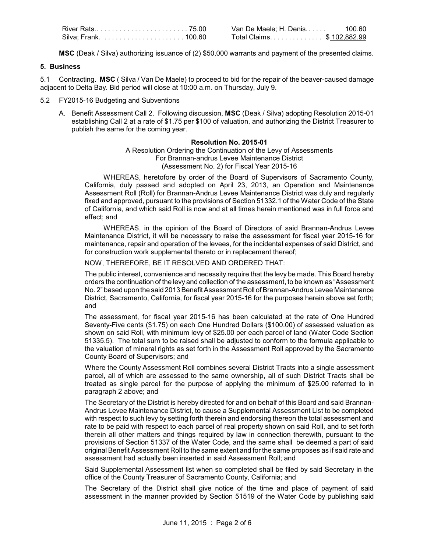**MSC** (Deak / Silva) authorizing issuance of (2) \$50,000 warrants and payment of the presented claims.

### **5. Business**

5.1 Contracting. **MSC** ( Silva / Van De Maele) to proceed to bid for the repair of the beaver-caused damage adjacent to Delta Bay. Bid period will close at 10:00 a.m. on Thursday, July 9.

- 5.2 FY2015-16 Budgeting and Subventions
	- A. Benefit Assessment Call 2. Following discussion, **MSC** (Deak / Silva) adopting Resolution 2015-01 establishing Call 2 at a rate of \$1.75 per \$100 of valuation, and authorizing the District Treasurer to publish the same for the coming year.

## **Resolution No. 2015-01**

A Resolution Ordering the Continuation of the Levy of Assessments For Brannan-andrus Levee Maintenance District (Assessment No. 2) for Fiscal Year 2015-16

WHEREAS, heretofore by order of the Board of Supervisors of Sacramento County, California, duly passed and adopted on April 23, 2013, an Operation and Maintenance Assessment Roll (Roll) for Brannan-Andrus Levee Maintenance District was duly and regularly fixed and approved, pursuant to the provisions of Section 51332.1 of the Water Code of the State of California, and which said Roll is now and at all times herein mentioned was in full force and effect; and

WHEREAS, in the opinion of the Board of Directors of said Brannan-Andrus Levee Maintenance District, it will be necessary to raise the assessment for fiscal year 2015-16 for maintenance, repair and operation of the levees, for the incidental expenses of said District, and for construction work supplemental thereto or in replacement thereof;

#### NOW, THEREFORE, BE IT RESOLVED AND ORDERED THAT:

The public interest, convenience and necessity require that the levy be made. This Board hereby orders the continuation of the levy and collection of the assessment, to be known as "Assessment No. 2" based upon the said 2013 Benefit Assessment Roll of Brannan-Andrus Levee Maintenance District, Sacramento, California, for fiscal year 2015-16 for the purposes herein above set forth; and

The assessment, for fiscal year 2015-16 has been calculated at the rate of One Hundred Seventy-Five cents (\$1.75) on each One Hundred Dollars (\$100.00) of assessed valuation as shown on said Roll, with minimum levy of \$25.00 per each parcel of land (Water Code Section 51335.5). The total sum to be raised shall be adjusted to conform to the formula applicable to the valuation of mineral rights as set forth in the Assessment Roll approved by the Sacramento County Board of Supervisors; and

Where the County Assessment Roll combines several District Tracts into a single assessment parcel, all of which are assessed to the same ownership, all of such District Tracts shall be treated as single parcel for the purpose of applying the minimum of \$25.00 referred to in paragraph 2 above; and

The Secretary of the District is hereby directed for and on behalf of this Board and said Brannan-Andrus Levee Maintenance District, to cause a Supplemental Assessment List to be completed with respect to such levy by setting forth therein and endorsing thereon the total assessment and rate to be paid with respect to each parcel of real property shown on said Roll, and to set forth therein all other matters and things required by law in connection therewith, pursuant to the provisions of Section 51337 of the Water Code, and the same shall be deemed a part of said original Benefit Assessment Roll to the same extent and for the same proposes as if said rate and assessment had actually been inserted in said Assessment Roll; and

Said Supplemental Assessment list when so completed shall be filed by said Secretary in the office of the County Treasurer of Sacramento County, California; and

The Secretary of the District shall give notice of the time and place of payment of said assessment in the manner provided by Section 51519 of the Water Code by publishing said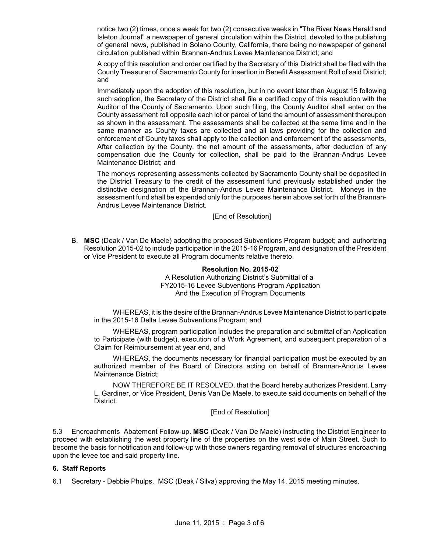notice two (2) times, once a week for two (2) consecutive weeks in "The River News Herald and Isleton Journal" a newspaper of general circulation within the District, devoted to the publishing of general news, published in Solano County, California, there being no newspaper of general circulation published within Brannan-Andrus Levee Maintenance District; and

A copy of this resolution and order certified by the Secretary of this District shall be filed with the County Treasurer of Sacramento County for insertion in Benefit Assessment Roll of said District; and

Immediately upon the adoption of this resolution, but in no event later than August 15 following such adoption, the Secretary of the District shall file a certified copy of this resolution with the Auditor of the County of Sacramento. Upon such filing, the County Auditor shall enter on the County assessment roll opposite each lot or parcel of land the amount of assessment thereupon as shown in the assessment. The assessments shall be collected at the same time and in the same manner as County taxes are collected and all laws providing for the collection and enforcement of County taxes shall apply to the collection and enforcement of the assessments, After collection by the County, the net amount of the assessments, after deduction of any compensation due the County for collection, shall be paid to the Brannan-Andrus Levee Maintenance District; and

The moneys representing assessments collected by Sacramento County shall be deposited in the District Treasury to the credit of the assessment fund previously established under the distinctive designation of the Brannan-Andrus Levee Maintenance District. Moneys in the assessment fund shall be expended only for the purposes herein above set forth of the Brannan-Andrus Levee Maintenance District.

[End of Resolution]

B. **MSC** (Deak / Van De Maele) adopting the proposed Subventions Program budget; and authorizing Resolution 2015-02 to include participation in the 2015-16 Program, and designation of the President or Vice President to execute all Program documents relative thereto.

> **Resolution No. 2015-02** A Resolution Authorizing District's Submittal of a FY2015-16 Levee Subventions Program Application And the Execution of Program Documents

WHEREAS, it is the desire of the Brannan-Andrus Levee Maintenance District to participate in the 2015-16 Delta Levee Subventions Program; and

WHEREAS, program participation includes the preparation and submittal of an Application to Participate (with budget), execution of a Work Agreement, and subsequent preparation of a Claim for Reimbursement at year end, and

WHEREAS, the documents necessary for financial participation must be executed by an authorized member of the Board of Directors acting on behalf of Brannan-Andrus Levee Maintenance District;

NOW THEREFORE BE IT RESOLVED, that the Board hereby authorizes President, Larry L. Gardiner, or Vice President, Denis Van De Maele, to execute said documents on behalf of the District.

[End of Resolution]

5.3 Encroachments Abatement Follow-up. **MSC** (Deak / Van De Maele) instructing the District Engineer to proceed with establishing the west property line of the properties on the west side of Main Street. Such to become the basis for notification and follow-up with those owners regarding removal of structures encroaching upon the levee toe and said property line.

## **6. Staff Reports**

6.1 Secretary - Debbie Phulps. MSC (Deak / Silva) approving the May 14, 2015 meeting minutes.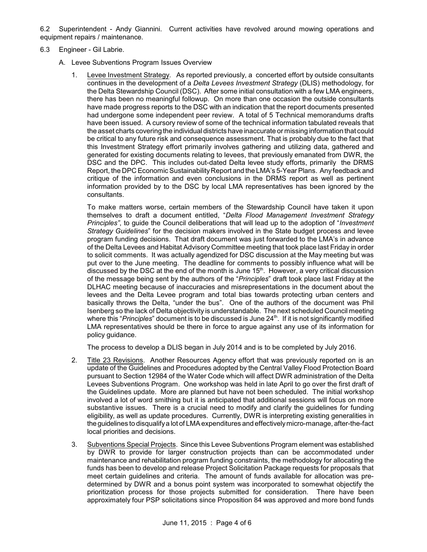6.2 Superintendent - Andy Giannini. Current activities have revolved around mowing operations and equipment repairs / maintenance.

- 6.3 Engineer Gil Labrie.
	- A. Levee Subventions Program Issues Overview
		- 1. Levee Investment Strategy. As reported previously, a concerted effort by outside consultants continues in the development of a *Delta Levees Investment Strategy* (DLIS) methodology, for the Delta Stewardship Council (DSC). After some initial consultation with a few LMA engineers, there has been no meaningful followup. On more than one occasion the outside consultants have made progress reports to the DSC with an indication that the report documents presented had undergone some independent peer review. A total of 5 Technical memorandums drafts have been issued. A cursory review of some of the technical information tabulated reveals that the asset charts covering the individual districts have inaccurate or missing information that could be critical to any future risk and consequence assessment. That is probably due to the fact that this Investment Strategy effort primarily involves gathering and utilizing data, gathered and generated for existing documents relating to levees, that previously emanated from DWR, the DSC and the DPC. This includes out-dated Delta levee study efforts, primarily the DRMS Report, the DPC Economic Sustainability Report and the LMA's 5-Year Plans. Any feedback and critique of the information and even conclusions in the DRMS report as well as pertinent information provided by to the DSC by local LMA representatives has been ignored by the consultants.

To make matters worse, certain members of the Stewardship Council have taken it upon themselves to draft a document entitled, "*Delta Flood Management Investment Strategy Principles"*, to guide the Council deliberations that will lead up to the adoption of "*Investment Strategy Guidelines*" for the decision makers involved in the State budget process and levee program funding decisions. That draft document was just forwarded to the LMA's in advance of the Delta Levees and Habitat Advisory Committee meeting that took place last Friday in order to solicit comments. It was actually agendized for DSC discussion at the May meeting but was put over to the June meeting. The deadline for comments to possibly influence what will be discussed by the DSC at the end of the month is June 15<sup>th</sup>. However, a very critical discussion of the message being sent by the authors of the "*Principles*" draft took place last Friday at the DLHAC meeting because of inaccuracies and misrepresentations in the document about the levees and the Delta Levee program and total bias towards protecting urban centers and basically throws the Delta, "under the bus". One of the authors of the document was Phil Isenberg so the lack of Delta objectivity is understandable. The next scheduled Council meeting where this "*Principles*" document is to be discussed is June 24<sup>th</sup>. If it is not significantly modified LMA representatives should be there in force to argue against any use of its information for policy guidance.

The process to develop a DLIS began in July 2014 and is to be completed by July 2016.

- 2. Title 23 Revisions. Another Resources Agency effort that was previously reported on is an update of the Guidelines and Procedures adopted by the Central Valley Flood Protection Board pursuant to Section 12984 of the Water Code which will affect DWR administration of the Delta Levees Subventions Program. One workshop was held in late April to go over the first draft of the Guidelines update. More are planned but have not been scheduled. The initial workshop involved a lot of word smithing but it is anticipated that additional sessions will focus on more substantive issues. There is a crucial need to modify and clarify the guidelines for funding eligibility, as well as update procedures. Currently, DWR is interpreting existing generalities in theguidelines to disqualifya lot of LMA expenditures and effectivelymicro-manage, after-the-fact local priorities and decisions.
- 3. Subventions Special Projects. Since this Levee Subventions Program element was established by DWR to provide for larger construction projects than can be accommodated under maintenance and rehabilitation program funding constraints, the methodology for allocating the funds has been to develop and release Project Solicitation Package requests for proposals that meet certain guidelines and criteria. The amount of funds available for allocation was predetermined by DWR and a bonus point system was incorporated to somewhat objectify the prioritization process for those projects submitted for consideration. There have been approximately four PSP solicitations since Proposition 84 was approved and more bond funds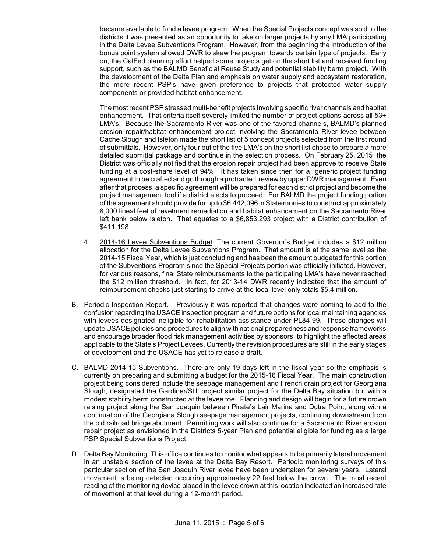became available to fund a levee program. When the Special Projects concept was sold to the districts it was presented as an opportunity to take on larger projects by any LMA participating in the Delta Levee Subventions Program. However, from the beginning the introduction of the bonus point system allowed DWR to skew the program towards certain type of projects. Early on, the CalFed planning effort helped some projects get on the short list and received funding support, such as the BALMD Beneficial Reuse Study and potential stability berm project. With the development of the Delta Plan and emphasis on water supply and ecosystem restoration, the more recent PSP's have given preference to projects that protected water supply components or provided habitat enhancement.

The most recent PSP stressed multi-benefit projects involving specific river channels and habitat enhancement. That criteria itself severely limited the number of project options across all 53+ LMA's. Because the Sacramento River was one of the favored channels, BALMD's planned erosion repair/habitat enhancement project involving the Sacramento River levee between Cache Slough and Isleton made the short list of 5 concept projects selected from the first round of submittals. However, only four out of the five LMA's on the short list chose to prepare a more detailed submittal package and continue in the selection process. On February 25, 2015 the District was officially notified that the erosion repair project had been approve to receive State funding at a cost-share level of 94%. It has taken since then for a generic project funding agreement to be crafted and go through a protracted review by upper DWR management. Even after that process, a specific agreement will be prepared for each district project and become the project management tool if a district elects to proceed. For BALMD the project funding portion of the agreement should provide for up to \$6,442,096 in State monies to construct approximately 8,000 lineal feet of revetment remediation and habitat enhancement on the Sacramento River left bank below Isleton. That equates to a \$6,853,293 project with a District contribution of \$411,198.

- 4. 2014-16 Levee Subventions Budget. The current Governor's Budget includes a \$12 million allocation for the Delta Levee Subventions Program. That amount is at the same level as the 2014-15 Fiscal Year, which is just concluding and has been the amount budgeted for this portion of the Subventions Program since the Special Projects portion was officially initiated. However, for various reasons, final State reimbursements to the participating LMA's have never reached the \$12 million threshold. In fact, for 2013-14 DWR recently indicated that the amount of reimbursement checks just starting to arrive at the local level only totals \$5.4 million.
- B. Periodic Inspection Report. Previously it was reported that changes were coming to add to the confusion regarding the USACE inspection program and future options for local maintaining agencies with levees designated ineligible for rehabilitation assistance under PL84-99. Those changes will update USACE policies and procedures to align with national preparedness and response frameworks and encourage broader flood risk management activities by sponsors, to highlight the affected areas applicable to the State's Project Levees. Currently the revision procedures are still in the early stages of development and the USACE has yet to release a draft.
- C. BALMD 2014-15 Subventions. There are only 19 days left in the fiscal year so the emphasis is currently on preparing and submitting a budget for the 2015-16 Fiscal Year. The main construction project being considered include the seepage management and French drain project for Georgiana Slough, designated the Gardiner/Still project similar project for the Delta Bay situation but with a modest stability berm constructed at the levee toe. Planning and design will begin for a future crown raising project along the San Joaquin between Pirate's Lair Marina and Dutra Point, along with a continuation of the Georgiana Slough seepage management projects, continuing downstream from the old railroad bridge abutment. Permitting work will also continue for a Sacramento River erosion repair project as envisioned in the Districts 5-year Plan and potential eligible for funding as a large PSP Special Subventions Project.
- D. Delta Bay Monitoring. This office continues to monitor what appears to be primarily lateral movement in an unstable section of the levee at the Delta Bay Resort. Periodic monitoring surveys of this particular section of the San Joaquin River levee have been undertaken for several years. Lateral movement is being detected occurring approximately 22 feet below the crown. The most recent reading of the monitoring device placed in the levee crown at this location indicated an increased rate of movement at that level during a 12-month period.